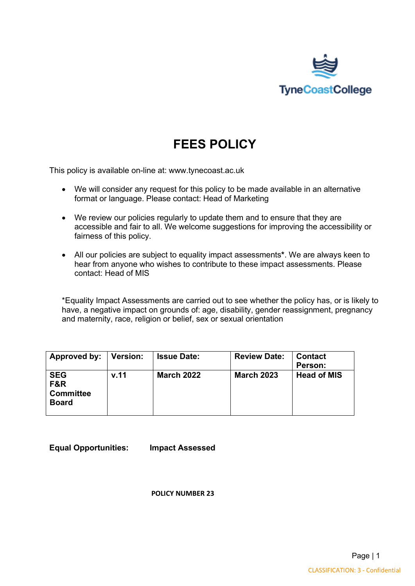

# **FEES POLICY**

This policy is available on-line at: www.tynecoast.ac.uk

- We will consider any request for this policy to be made available in an alternative format or language. Please contact: Head of Marketing
- We review our policies regularly to update them and to ensure that they are accessible and fair to all. We welcome suggestions for improving the accessibility or fairness of this policy.
- All our policies are subject to equality impact assessments**\***. We are always keen to hear from anyone who wishes to contribute to these impact assessments. Please contact: Head of MIS

\*Equality Impact Assessments are carried out to see whether the policy has, or is likely to have, a negative impact on grounds of: age, disability, gender reassignment, pregnancy and maternity, race, religion or belief, sex or sexual orientation

| Approved by:   Version:                                          |      | <b>Issue Date:</b> | <b>Review Date:</b> | <b>Contact</b><br>Person: |
|------------------------------------------------------------------|------|--------------------|---------------------|---------------------------|
| <b>SEG</b><br><b>F&amp;R</b><br><b>Committee</b><br><b>Board</b> | v.11 | <b>March 2022</b>  | <b>March 2023</b>   | <b>Head of MIS</b>        |

**Equal Opportunities: Impact Assessed** 

**POLICY NUMBER 23**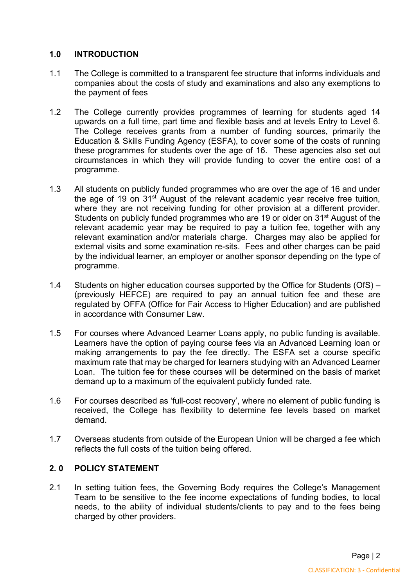## **1.0 INTRODUCTION**

- 1.1 The College is committed to a transparent fee structure that informs individuals and companies about the costs of study and examinations and also any exemptions to the payment of fees
- 1.2 The College currently provides programmes of learning for students aged 14 upwards on a full time, part time and flexible basis and at levels Entry to Level 6. The College receives grants from a number of funding sources, primarily the Education & Skills Funding Agency (ESFA), to cover some of the costs of running these programmes for students over the age of 16. These agencies also set out circumstances in which they will provide funding to cover the entire cost of a programme.
- 1.3 All students on publicly funded programmes who are over the age of 16 and under the age of 19 on 31st August of the relevant academic year receive free tuition, where they are not receiving funding for other provision at a different provider. Students on publicly funded programmes who are 19 or older on 31<sup>st</sup> August of the relevant academic year may be required to pay a tuition fee, together with any relevant examination and/or materials charge. Charges may also be applied for external visits and some examination re-sits. Fees and other charges can be paid by the individual learner, an employer or another sponsor depending on the type of programme.
- 1.4 Students on higher education courses supported by the Office for Students (OfS) (previously HEFCE) are required to pay an annual tuition fee and these are regulated by OFFA (Office for Fair Access to Higher Education) and are published in accordance with Consumer Law.
- 1.5 For courses where Advanced Learner Loans apply, no public funding is available. Learners have the option of paying course fees via an Advanced Learning loan or making arrangements to pay the fee directly. The ESFA set a course specific maximum rate that may be charged for learners studying with an Advanced Learner Loan. The tuition fee for these courses will be determined on the basis of market demand up to a maximum of the equivalent publicly funded rate.
- 1.6 For courses described as 'full-cost recovery', where no element of public funding is received, the College has flexibility to determine fee levels based on market demand.
- 1.7 Overseas students from outside of the European Union will be charged a fee which reflects the full costs of the tuition being offered.

# **2. 0 POLICY STATEMENT**

2.1 In setting tuition fees, the Governing Body requires the College's Management Team to be sensitive to the fee income expectations of funding bodies, to local needs, to the ability of individual students/clients to pay and to the fees being charged by other providers.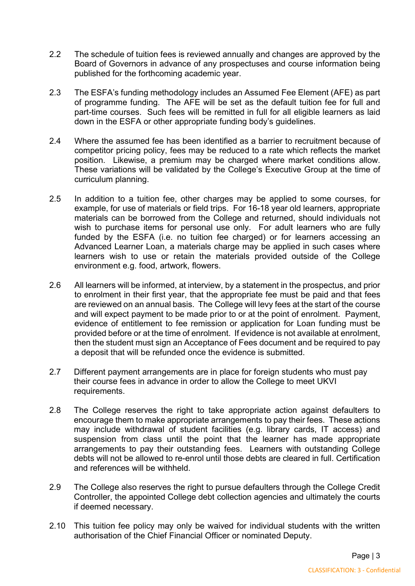- 2.2 The schedule of tuition fees is reviewed annually and changes are approved by the Board of Governors in advance of any prospectuses and course information being published for the forthcoming academic year.
- 2.3 The ESFA's funding methodology includes an Assumed Fee Element (AFE) as part of programme funding. The AFE will be set as the default tuition fee for full and part-time courses. Such fees will be remitted in full for all eligible learners as laid down in the ESFA or other appropriate funding body's guidelines.
- 2.4 Where the assumed fee has been identified as a barrier to recruitment because of competitor pricing policy, fees may be reduced to a rate which reflects the market position. Likewise, a premium may be charged where market conditions allow. These variations will be validated by the College's Executive Group at the time of curriculum planning.
- 2.5 In addition to a tuition fee, other charges may be applied to some courses, for example, for use of materials or field trips. For 16-18 year old learners, appropriate materials can be borrowed from the College and returned, should individuals not wish to purchase items for personal use only. For adult learners who are fully funded by the ESFA (i.e. no tuition fee charged) or for learners accessing an Advanced Learner Loan, a materials charge may be applied in such cases where learners wish to use or retain the materials provided outside of the College environment e.g. food, artwork, flowers.
- 2.6 All learners will be informed, at interview, by a statement in the prospectus, and prior to enrolment in their first year, that the appropriate fee must be paid and that fees are reviewed on an annual basis. The College will levy fees at the start of the course and will expect payment to be made prior to or at the point of enrolment. Payment, evidence of entitlement to fee remission or application for Loan funding must be provided before or at the time of enrolment. If evidence is not available at enrolment, then the student must sign an Acceptance of Fees document and be required to pay a deposit that will be refunded once the evidence is submitted.
- 2.7 Different payment arrangements are in place for foreign students who must pay their course fees in advance in order to allow the College to meet UKVI requirements.
- 2.8 The College reserves the right to take appropriate action against defaulters to encourage them to make appropriate arrangements to pay their fees. These actions may include withdrawal of student facilities (e.g. library cards, IT access) and suspension from class until the point that the learner has made appropriate arrangements to pay their outstanding fees. Learners with outstanding College debts will not be allowed to re-enrol until those debts are cleared in full. Certification and references will be withheld.
- 2.9 The College also reserves the right to pursue defaulters through the College Credit Controller, the appointed College debt collection agencies and ultimately the courts if deemed necessary.
- 2.10 This tuition fee policy may only be waived for individual students with the written authorisation of the Chief Financial Officer or nominated Deputy.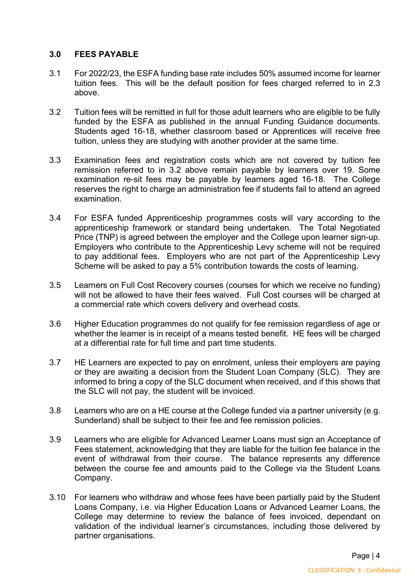## **3.0 FEES PAYABLE**

- 3.1 For 2022/23, the ESFA funding base rate includes 50% assumed income for learner tuition fees. This will be the default position for fees charged referred to in 2.3 above.
- 3.2 Tuition fees will be remitted in full for those adult learners who are eligible to be fully funded by the ESFA as published in the annual Funding Guidance documents. Students aged 16-18, whether classroom based or Apprentices will receive free tuition, unless they are studying with another provider at the same time.
- 3.3 Examination fees and registration costs which are not covered by tuition fee remission referred to in 3.2 above remain payable by learners over 19. Some examination re-sit fees may be payable by learners aged 16-18. The College reserves the right to charge an administration fee if students fail to attend an agreed examination.
- 3.4 For ESFA funded Apprenticeship programmes costs will vary according to the apprenticeship framework or standard being undertaken. The Total Negotiated Price (TNP) is agreed between the employer and the College upon learner sign-up. Employers who contribute to the Apprenticeship Levy scheme will not be required to pay additional fees. Employers who are not part of the Apprenticeship Levy Scheme will be asked to pay a 5% contribution towards the costs of learning.
- 3.5 Learners on Full Cost Recovery courses (courses for which we receive no funding) will not be allowed to have their fees waived. Full Cost courses will be charged at a commercial rate which covers delivery and overhead costs.
- 3.6 Higher Education programmes do not qualify for fee remission regardless of age or whether the learner is in receipt of a means tested benefit. HE fees will be charged at a differential rate for full time and part time students.
- 3.7 HE Learners are expected to pay on enrolment, unless their employers are paying or they are awaiting a decision from the Student Loan Company (SLC). They are informed to bring a copy of the SLC document when received, and if this shows that the SLC will not pay, the student will be invoiced.
- 3.8 Learners who are on a HE course at the College funded via a partner university (e.g. Sunderland) shall be subject to their fee and fee remission policies.
- 3.9 Learners who are eligible for Advanced Learner Loans must sign an Acceptance of Fees statement, acknowledging that they are liable for the tuition fee balance in the event of withdrawal from their course. The balance represents any difference between the course fee and amounts paid to the College via the Student Loans Company.
- 3.10 For learners who withdraw and whose fees have been partially paid by the Student Loans Company, i.e. via Higher Education Loans or Advanced Learner Loans, the College may determine to review the balance of fees invoiced, dependant on validation of the individual learner's circumstances, including those delivered by partner organisations.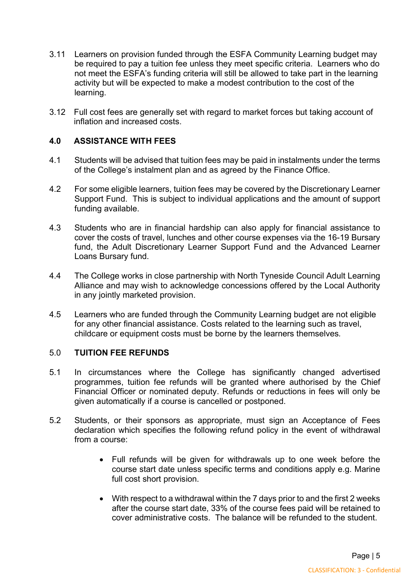- 3.11 Learners on provision funded through the ESFA Community Learning budget may be required to pay a tuition fee unless they meet specific criteria. Learners who do not meet the ESFA's funding criteria will still be allowed to take part in the learning activity but will be expected to make a modest contribution to the cost of the learning.
- 3.12 Full cost fees are generally set with regard to market forces but taking account of inflation and increased costs.

# **4.0 ASSISTANCE WITH FEES**

- 4.1 Students will be advised that tuition fees may be paid in instalments under the terms of the College's instalment plan and as agreed by the Finance Office.
- 4.2 For some eligible learners, tuition fees may be covered by the Discretionary Learner Support Fund. This is subject to individual applications and the amount of support funding available.
- 4.3 Students who are in financial hardship can also apply for financial assistance to cover the costs of travel, lunches and other course expenses via the 16-19 Bursary fund, the Adult Discretionary Learner Support Fund and the Advanced Learner Loans Bursary fund.
- 4.4 The College works in close partnership with North Tyneside Council Adult Learning Alliance and may wish to acknowledge concessions offered by the Local Authority in any jointly marketed provision.
- 4.5 Learners who are funded through the Community Learning budget are not eligible for any other financial assistance. Costs related to the learning such as travel, childcare or equipment costs must be borne by the learners themselves*.*

## 5.0 **TUITION FEE REFUNDS**

- 5.1 In circumstances where the College has significantly changed advertised programmes, tuition fee refunds will be granted where authorised by the Chief Financial Officer or nominated deputy. Refunds or reductions in fees will only be given automatically if a course is cancelled or postponed.
- 5.2 Students, or their sponsors as appropriate, must sign an Acceptance of Fees declaration which specifies the following refund policy in the event of withdrawal from a course:
	- Full refunds will be given for withdrawals up to one week before the course start date unless specific terms and conditions apply e.g. Marine full cost short provision.
	- With respect to a withdrawal within the 7 days prior to and the first 2 weeks after the course start date, 33% of the course fees paid will be retained to cover administrative costs. The balance will be refunded to the student.